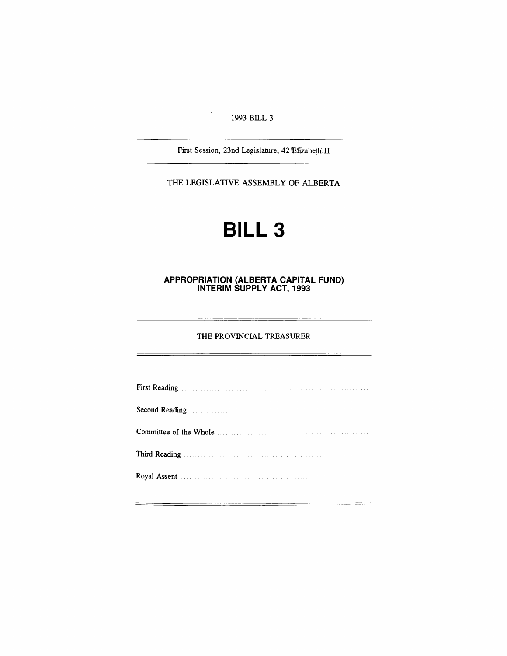#### 1993 BILL 3

 $\langle \cdot \rangle$ 

First Session, 23nd Legislature, 42 Elizabeth II

THE LEGISLATIVE ASSEMBLY OF ALBERTA

# **BILL 3**

#### **APPROPRIATION (ALBERTA CAPITAL FUND) INTERIM SUPPLY ACT, 1993**

#### THE PROVINCIAL TREASURER

L,

 $=$ 

| Royal Assent Manual Assembly Royal Assembly |  |
|---------------------------------------------|--|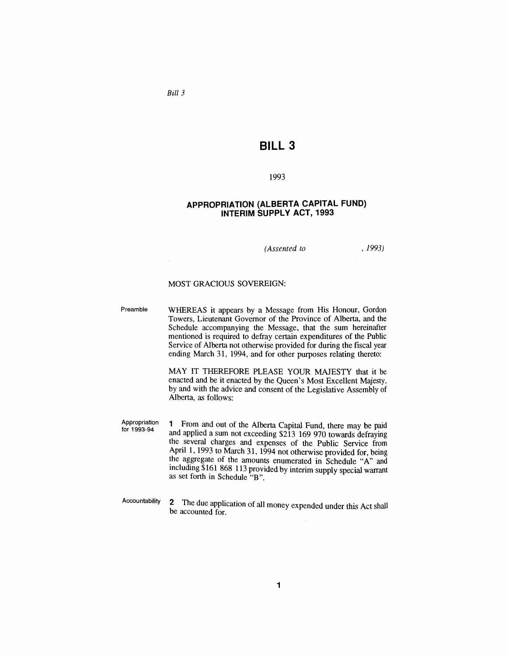*Bill 3*

### **BILL 3**

#### 1993

#### **APPROPRIATION (ALBERTA CAPITAL FUND) INTERIM SUPPLY ACT, 1993**

*(Assented to*

, 1993)

#### MOST GRACIOUS SOVEREIGN:

Preamble WHEREAS it appears by a Message from His Honour, Gordon Towers, Lieutenant Governor of the Province of Alberta, and the Schedule accompanying the Message, that the sum hereinafter mentioned is required to defray certain expenditures of the Public Service of Alberta not otherwise provided for during the fiscal year ending March 31, 1994, and for other purposes relating thereto:

> MAY IT THEREFORE PLEASE YOUR MAJESTY that it be enacted and be it enacted by the Queen's Most Excellent Majesty, by and with the advice and consent of the Legislative Assembly of Alberta, as follows:

Appropriation for 1993-94 1 From and out of the Alberta Capital Fund, there may be paid and applied a sum not exceeding \$213 169 970 towards defraying the several charges and expenses of the Public Service from April 1, 1993 to March 31, 1994 not otherwise provided for, being the aggregate of the amounts enumerated in Schedule "A" and including \$161 868 113 provided by interim supply special warrant as set forth in Schedule "B".

Accountability 2 The due application of all money expended under this Act shall be accounted for.